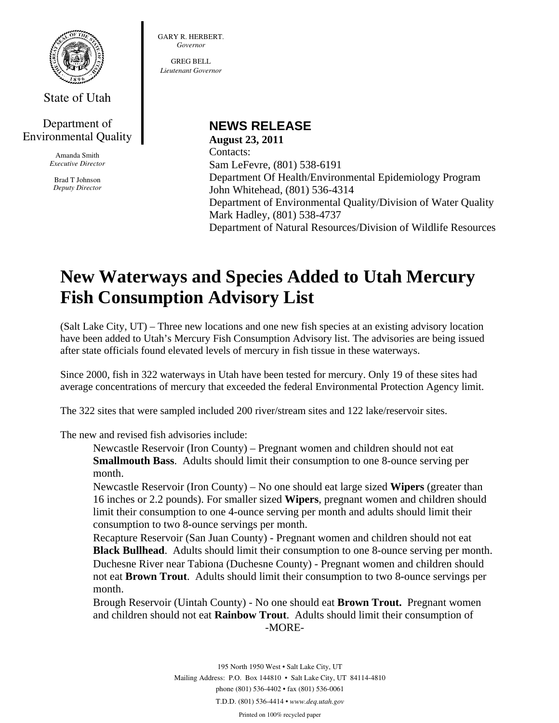

State of Utah

### Department of Environmental Quality

Amanda Smith *Executive Director* 

Brad T Johnson *Deputy Director*  GARY R. HERBERT. *Governor* 

GREG BELL *Lieutenant Governor* 

## **NEWS RELEASE**

**August 23, 2011**  Contacts: Sam LeFevre, (801) 538-6191 Department Of Health/Environmental Epidemiology Program John Whitehead, (801) 536-4314 Department of Environmental Quality/Division of Water Quality Mark Hadley, (801) 538-4737 Department of Natural Resources/Division of Wildlife Resources

# **New Waterways and Species Added to Utah Mercury Fish Consumption Advisory List**

(Salt Lake City, UT) – Three new locations and one new fish species at an existing advisory location have been added to Utah's Mercury Fish Consumption Advisory list. The advisories are being issued after state officials found elevated levels of mercury in fish tissue in these waterways.

Since 2000, fish in 322 waterways in Utah have been tested for mercury. Only 19 of these sites had average concentrations of mercury that exceeded the federal Environmental Protection Agency limit.

The 322 sites that were sampled included 200 river/stream sites and 122 lake/reservoir sites.

The new and revised fish advisories include:

Newcastle Reservoir (Iron County) – Pregnant women and children should not eat **Smallmouth Bass**. Adults should limit their consumption to one 8-ounce serving per month.

Newcastle Reservoir (Iron County) – No one should eat large sized **Wipers** (greater than 16 inches or 2.2 pounds). For smaller sized **Wipers**, pregnant women and children should limit their consumption to one 4-ounce serving per month and adults should limit their consumption to two 8-ounce servings per month.

Recapture Reservoir (San Juan County) - Pregnant women and children should not eat **Black Bullhead**. Adults should limit their consumption to one 8-ounce serving per month. Duchesne River near Tabiona (Duchesne County) - Pregnant women and children should not eat **Brown Trout**. Adults should limit their consumption to two 8-ounce servings per month.

Brough Reservoir (Uintah County) - No one should eat **Brown Trout.** Pregnant women and children should not eat **Rainbow Trout**. Adults should limit their consumption of -MORE-

> 195 North 1950 West • Salt Lake City, UT Mailing Address: P.O. Box 144810 • Salt Lake City, UT 84114-4810 phone (801) 536-4402 • fax (801) 536-0061 T.D.D. (801) 536-4414 • *www.deq.utah.gov*

Printed on 100% recycled paper